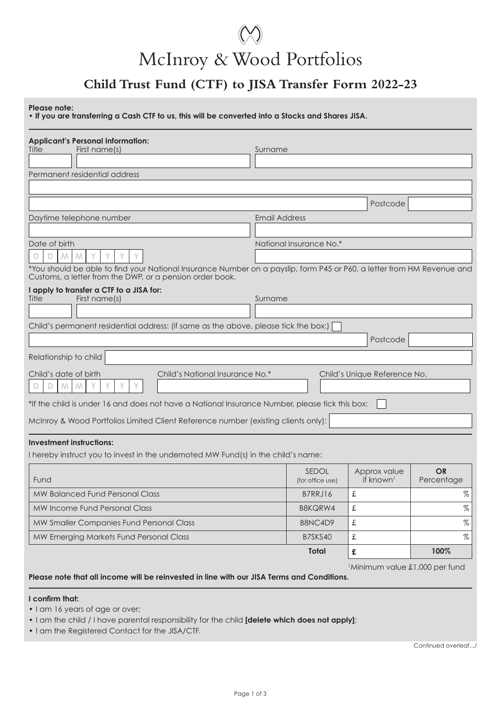# McInroy & Wood Portfolios

## **Child Trust Fund (CTF) to JISA Transfer Form 2022-23**

**Please note:**

**• If you are transferring a Cash CTF to us, this will be converted into a Stocks and Shares JISA.**

| <b>Applicant's Personal Information:</b>                                                                                                                                           |                         |                  |                               |            |
|------------------------------------------------------------------------------------------------------------------------------------------------------------------------------------|-------------------------|------------------|-------------------------------|------------|
| First name(s)<br>Title                                                                                                                                                             | Surname                 |                  |                               |            |
| Permanent residential address                                                                                                                                                      |                         |                  |                               |            |
|                                                                                                                                                                                    |                         |                  |                               |            |
|                                                                                                                                                                                    |                         |                  | Postcode                      |            |
| Daytime telephone number                                                                                                                                                           | <b>Email Address</b>    |                  |                               |            |
|                                                                                                                                                                                    |                         |                  |                               |            |
| Date of birth                                                                                                                                                                      | National Insurance No.* |                  |                               |            |
| M<br>Ð                                                                                                                                                                             |                         |                  |                               |            |
| *You should be able to find your National Insurance Number on a payslip, form P45 or P60, a letter from HM Revenue and<br>Customs, a letter from the DWP, or a pension order book. |                         |                  |                               |            |
| I apply to transfer a CTF to a JISA for:                                                                                                                                           |                         |                  |                               |            |
| First name(s)<br>Title                                                                                                                                                             | Surname                 |                  |                               |            |
| Child's permanent residential address: (if same as the above, please tick the box:)                                                                                                |                         |                  |                               |            |
|                                                                                                                                                                                    |                         |                  | Postcode                      |            |
|                                                                                                                                                                                    |                         |                  |                               |            |
| Relationship to child                                                                                                                                                              |                         |                  |                               |            |
| Child's National Insurance No.*<br>Child's date of birth                                                                                                                           |                         |                  | Child's Unique Reference No.  |            |
| M<br>M<br>Ð                                                                                                                                                                        |                         |                  |                               |            |
| *If the child is under 16 and does not have a National Insurance Number, please tick this box:                                                                                     |                         |                  |                               |            |
| McInroy & Wood Portfolios Limited Client Reference number (existing clients only):                                                                                                 |                         |                  |                               |            |
| <b>Investment instructions:</b>                                                                                                                                                    |                         |                  |                               |            |
| I hereby instruct you to invest in the undernoted MW Fund(s) in the child's name:                                                                                                  |                         |                  |                               |            |
|                                                                                                                                                                                    |                         | <b>SEDOL</b>     | Approx value                  | <b>OR</b>  |
| Fund                                                                                                                                                                               |                         | (for office use) | if known <sup>1</sup>         | Percentage |
| <b>MW Balanced Fund Personal Class</b>                                                                                                                                             |                         | B7RRJ16          | £                             | $\%$       |
| MW Income Fund Personal Class                                                                                                                                                      |                         | B8KQRW4          | £                             | %          |
| MW Smaller Companies Fund Personal Class                                                                                                                                           |                         | B8NC4D9          | £                             | $\%$       |
| MW Emerging Markets Fund Personal Class                                                                                                                                            |                         | B7SKS40          | $\pounds$                     | $\%$       |
|                                                                                                                                                                                    |                         | Total            | £                             | 100%       |
|                                                                                                                                                                                    |                         |                  | Minimum value £1,000 per fund |            |
| Please note that all income will be reinvested in line with our JISA Terms and Conditions.                                                                                         |                         |                  |                               |            |

#### **I confirm that:**

• I am 16 years of age or over;

• I am the child / I have parental responsibility for the child **[delete which does not apply]**;

• I am the Registered Contact for the JISA/CTF.

Continued overleaf.../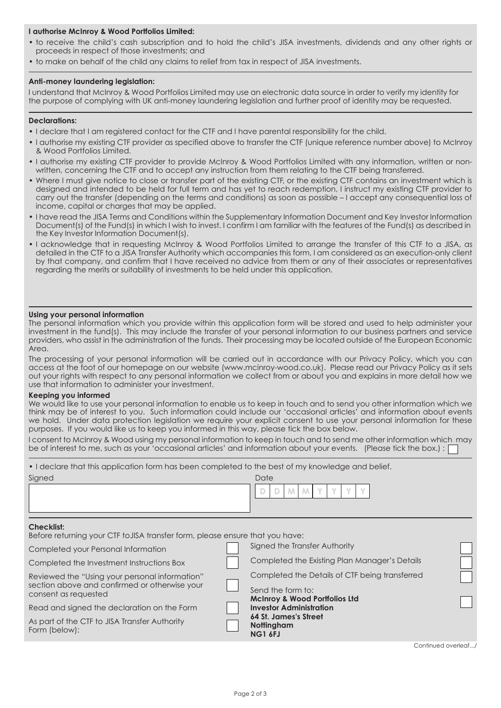#### **I authorise McInroy & Wood Portfolios Limited:**

- to receive the child's cash subscription and to hold the child's JISA investments, dividends and any other rights or proceeds in respect of those investments; and
- to make on behalf of the child any claims to relief from tax in respect of JISA investments.

#### **Anti-money laundering legislation:**

I understand that McInroy & Wood Portfolios Limited may use an electronic data source in order to verify my identity for the purpose of complying with UK anti-money laundering legislation and further proof of identity may be requested.

#### **Declarations:**

- I declare that I am registered contact for the CTF and I have parental responsibility for the child.
- I authorise my existing CTF provider as specified above to transfer the CTF (unique reference number above) to McInroy & Wood Portfolios Limited.
- I authorise my existing CTF provider to provide McInroy & Wood Portfolios Limited with any information, written or nonwritten, concerning the CTF and to accept any instruction from them relating to the CTF being transferred.
- Where I must give notice to close or transfer part of the existing CTF, or the existing CTF contains an investment which is designed and intended to be held for full term and has yet to reach redemption, I instruct my existing CTF provider to carry out the transfer (depending on the terms and conditions) as soon as possible – I accept any consequential loss of income, capital or charges that may be applied.
- I have read the JISA Terms and Conditions within the Supplementary Information Document and Key Investor Information Document(s) of the Fund(s) in which I wish to invest. I confirm I am familiar with the features of the Fund(s) as described in the Key Investor Information Document(s).
- I acknowledge that in requesting McInroy & Wood Portfolios Limited to arrange the transfer of this CTF to a JISA, as detailed in the CTF to a JISA Transfer Authority which accompanies this form, I am considered as an execution-only client by that company, and confirm that I have received no advice from them or any of their associates or representatives regarding the merits or suitability of investments to be held under this application.

#### **Using your personal information**

The personal information which you provide within this application form will be stored and used to help administer your investment in the fund(s). This may include the transfer of your personal information to our business partners and service providers, who assist in the administration of the funds. Their processing may be located outside of the European Economic Area.

The processing of your personal information will be carried out in accordance with our Privacy Policy, which you can access at the foot of our homepage on our website (www.mcinroy-wood.co.uk). Please read our Privacy Policy as it sets out your rights with respect to any personal information we collect from or about you and explains in more detail how we use that information to administer your investment.

#### **Keeping you informed**

We would like to use your personal information to enable us to keep in touch and to send you other information which we think may be of interest to you. Such information could include our 'occasional articles' and information about events we hold. Under data protection legislation we require your explicit consent to use your personal information for these purposes. If you would like us to keep you informed in this way, please tick the box below.

| I consent to McInroy & Wood using my personal information to keep in touch and to send me other information which may |  |  |  |
|-----------------------------------------------------------------------------------------------------------------------|--|--|--|
| be of interest to me, such as your 'occasional articles' and information about your events. (Please tick the box.) :  |  |  |  |

| • I declare that this application form has been completed to the best of my knowledge and belief. |                                                |                                                                            |                    |
|---------------------------------------------------------------------------------------------------|------------------------------------------------|----------------------------------------------------------------------------|--------------------|
| Signed                                                                                            |                                                | Date                                                                       |                    |
|                                                                                                   |                                                | M.<br>D<br>D                                                               |                    |
|                                                                                                   |                                                |                                                                            |                    |
| Checklist:<br>Before returning your CTF to JISA transfer form, please ensure that you have:       |                                                |                                                                            |                    |
| Completed your Personal Information                                                               |                                                | Signed the Transfer Authority                                              |                    |
| Completed the Investment Instructions Box                                                         |                                                | Completed the Existing Plan Manager's Details                              |                    |
| Reviewed the "Using your personal information"                                                    | Completed the Details of CTF being transferred |                                                                            |                    |
| section above and confirmed or otherwise your<br>consent as requested                             |                                                | Send the form to:                                                          |                    |
| Read and signed the declaration on the Form                                                       |                                                | <b>McInroy &amp; Wood Portfolios Ltd</b><br><b>Investor Administration</b> |                    |
| As part of the CTF to JISA Transfer Authority<br>Form (below):                                    |                                                | 64 St. James's Street<br>Nottingham<br><b>NG1 6FJ</b>                      |                    |
|                                                                                                   |                                                |                                                                            | Continued overleaf |